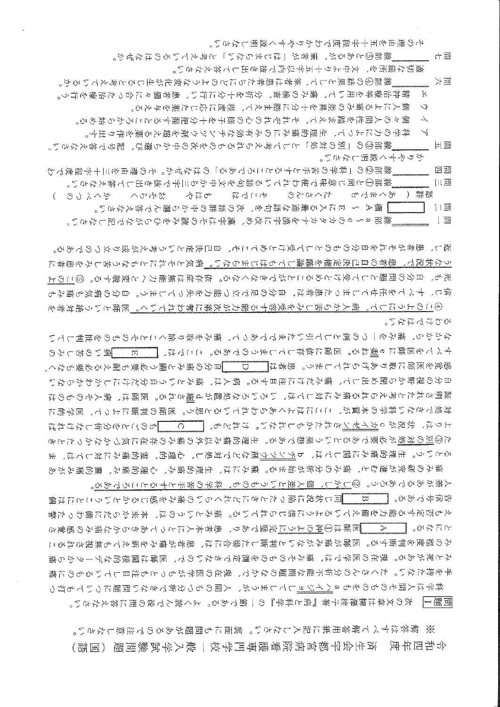※ 解答はすべて解答用紙に記入しなさい。裏面にも問題があるので注意しなさい。 令和四年度 済生会宇都宫病院看護専門学校一般入学試験問題(国語)

問題1| 次の文章は柳澤桂子著『病と科学』の一節である。よく読んで後の問に答えなさい。

人差があるであろう。②しかし、個人差というものも、科学の苦手とするところである。 告信号である。▎ B\_\_同じ状況に陥ったときにどれくらいの痛みを感じるかということには個 えも否定する能力を備えているように信じられている。痛みというのは、本来からだに備わった警 とになる。 ┃ A ┃医師は①神のように完璧であり、患者本人にとってあきらかな痛みの感覚さ みの程度を判断する。医師が痛みがないと判断した場合には、患者が痛みを訴えても無視されるこ みと死がある。現在の医学では、痛みそのものを測定できないので、医師は間接的なデータから痛 手を持たない。たくさんの分析不能な問題のなかで、現在の医学がもっとも注目しているものに痛 科学は人間そのものをもaハイジョしてしまうが、人間のもつ分析できない問題についても打つ

もやにいいい。 なかから、痛みを一つの例として引いたまでであって、痛みを取り除くことそのものを批判してい すべてを医師にゅ製ねる。医師に依存してしまうのである。ここでは、 [――』 病いの苦しみの 感覚を医師に取りあげられてしまう。患者は┃ ロ 【目分の痛みと關う必要も耐える必要もなく、 自分の視野から閉め出して、痛みだけに注目する。病人は、痛みという自分だけにしかわからない 証明されたと考えられる痛みに対しては、いろいろな処置がd胸される。医師は、病人そのものは 対処できない科学の本質が、ここにはよくあらわれていると思う。医師の判断によって、医学的に よりは、状況がこカイゼンされたかもしれない。けれども、 ――C――ものごとを分析しなければ た②別の対処が必要であるという発想である。生理的痛み以外の痛みの存在に気づかなかったとき るという。生理的痛みに関しては、bヂンツウ剤などで対処し、心理的、霊的痛みに対しては、ま 痛みの研究が進むと、痛みの分析が始まる。痛みには、生理的痛み、心理的痛み、霊的痛みがあ

返し、患者がそれを自分のものとして受けとめてこそ、自己決定という考えが成り立つのである。 うな状況で、患者の自己決定権を議論してもはじまらない。病気とそれにともなう苦しみを患者に 死も、自分の問題として受けとめることができなくなる。依存症は無能力へと変貌する。⑤このよ 信じ、すべてを任せてしまった患者は、自分の足で立つ能力を失ってしまう。自分の病気も痛みも ④このようにして、病人から苦しみを受容する能力が次第に奪われていく。医師という絶対者を

- ▌欄A ~ Eに入る最適な語句を、次の語群の中から選んで答えなさい。 │ │ │ | 瑶 ――――"線部a~eのカタカナを漢字に改め、漢字はその読みをひらがなで記しなさい。
- 繰部②の「科学の苦手とするところである」のはなぜか。その理由を三十字程度でわ ──模部①と同じ意味で使われている語句を文中から三字で抜き出して答えなさい。 語群( あくまでも 、 たくさんの とこでは もはや おそらく ( こうくくみ
- 問五 ――― 線部③の「別の対処」として考えられるものを次の中から選び、記号で答えなさい。 かりやすく説明しなさい。 日理
- ア 科学の力によって、生理的痛みにのみ有効なチンツウ剤を超える薬を作り出す。
- イ 個々の人間性を踏まえて、それぞれの心の様子を十分把握するところから始める。
- ウ(個人による痛みの差異を十分に踏まえて、程度に応じた薬を与える。
- 線部④の結果として、篳者は患者たちにどのような変化が生じると考えているか。 가 퍮 エ 精神治療等を用いて、痛みの検査、分析を十分に行い、患者個々に合った治療を行う。

- 線部⑤とあるが、筆者が「はじまらない」と考えているのはなぜか。

- 適切な箇所を、文中より十五字以内で抜き出して答えなさい。
- その理由を五十字程度でわかりやすく説明しなさい。

一 一 一 噩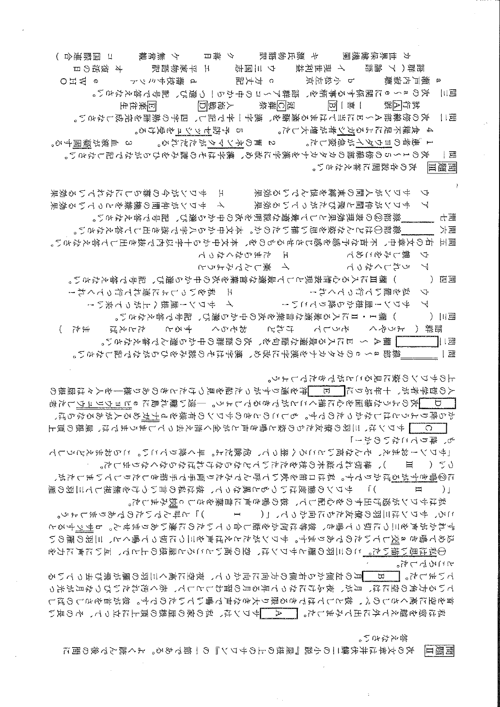問題Ⅱ 次の文章は井伏鱒二の小説『屋根の上のサワン』の一節である。よく読んで後の問に

柳々なやい。

さころでした。 ていました。| B 月の左側から右側の方向に向かって、夜空に高く三羽の雁が飛び去っている ている方角の空には、月が、夜ふけになって昇る月の習わしとして、赤く汚れたいびつな月が光っ 首を空に高くさしのべ、彼としてはできる限り大きな声で鳴いていたのです。彼が首をさしのばし 私は絶や膨んし冬に丑しなました。 ―― 4― ずワンは、牧の家の甌俵の嵐上におって、その咸い

私はサワンが逃げ出すのを心配して、彼の鵯き声に言葉をさしっ換みました。 ころ、サワンは三羽の僚友たちに向かって、[(゜゜ー゜゜)」と叫んでいたのでありましょう。 ずれかが声を三つに切って鳴き、彼等は何かを話し合っていたのに違いありません。bサヅすると 込めて鳴きa交していたのであります。サワンがたとえば声を三つに切って鳴くと、三羽の雁のい ①私は思い描いた。この三羽の雁とサワンは、空の高いところと屋根の上とで、互いに声に力を

つい( ) 耳 )、棒切れで庭木の枝をたたいてどならなければならなくなりました。 に②鳴きすがるばかりです。私は口笛を吹いて呼んでみたり両手で手招きしたりしていましたが、 「( Ⅱ )」 サワンの態度はいつもと異なって、彼は私の言いつけを無視して三羽の雁

も、降りてこないのか!」 「サワン!おまえ、そんな両いところ〈登って、危険だよ。早く降りていい。 ころおまえどうし

上のサワンの姿に見ることができたでしょう。 人の哲学者が、十年ぶりに┃ [11] 「沖を通りすがった船を見つけたときのあり様―を人々は屋根の □ 一次のような場面を心に描くことができるでしょう。─遠い離れ島にゅヒョウリュウした老 から降りようとはしなかったのです。もしこのときのサワンの有様を4十ガめる人があるならば、 │ ○ │ サワンは、三羽の僚友たちの姿と鳴き声とが全く消え去ってしまうまでは、屋根の頂上

ア サワン!麗徳かん降りてこい! イ サワン!麗徳〈上がって来い! )欄1・Ⅱに入る最適な言葉を次の中から選び、記号で答えなさい。 おそろく すると たいさば 語群( ようやく そうして けれど ( 汗 │ | 讀A 〜 Eに入る最適な語句を、次の語群の中から選んで答えなさい。 「線部a~eのカタカナを漢字に改め、漢字はその読みをひらがなで記しなさい。 

+ 私をいっしょに連れて行ってくれ! ウ 私を電いて行ってくれ!

問四(―――) 欄Ⅲに入る心情表現として最適な言葉を次の中から選び、記号で答えなさい。

イ 楽しんでみようと いざつへやぃト  $\sim$ 

線部④はどんな際を思い描いたのか。本文中から<字で抜き出して答えなさい。 가팶 問五 右の文章中、不吉な予感を感じさせるものを、本文中から十字以内で抜き出して答えなさい。

H 、 ちまらなくなって

エ サワンが今つ事ぅ ```````<br>イ サワンが仲間の機嫌をとっている効果 ウ サワンが人間の束縛を恨んでいる效果 アーサワンが仲間と飛びたがっている効果 「線部②の表現効果として最適な説明を次の中から選び、記号で答えなさい。 西力

次の1~5の傍線部のカタカナを漢字に改め、漢字はその読みをひらがなで記しなさい。 ∣⊞ 問題皿 ―― 次の各設問に答えなさい。

問三 次のa~eに関係する事柄を、語群ア~コの中から一つ遷ぴ、記号で答えなさい。 冠乙囊祭 人海戰囚 医紫往生  $\boxed{1}$   $\boxed{1}$   $\boxed{1}$ 武行|ム|默 次の傍線部A~ロに当てはまる適語を、擲字|針で記し、四字の敷語を完成しなさい。 - 11瑶 4 食糧不足によるガシ者が増大した。 ―― 5 予防ゼッシュを受ける。

d 藩校サミシト

o ⊨ ≳ <del>⊔</del> o

3 血液が凝固する。

カ 世界保健機関 ( キ 源氏物語訳 ) ク 落日 ) ケ 無常観 ( コ 国際連合 ) オ 復活の日 語群 (ア 論語 - イ 現世利益 - ウ 三国志 - エ 平家物語訳

p 小松左京 ~ 5 方丈記

1 患者のヨウダイが急変した。 2 胃のネンマクがただれる。

a 灘戸内寂聴

ウ 親しみをこめて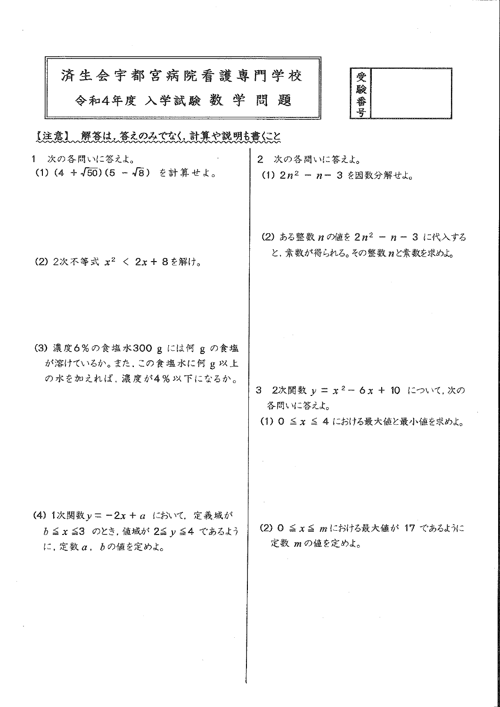| 済生会宇都宮病院看護専門学校     |  |  |
|--------------------|--|--|
| 令和4年度 入学試験 数 学 問 題 |  |  |



 $\mathcal{A}$ 

## 「法意」、解答は、答えのみてない、就算や説明も意にと

 $\overline{a}$ 

| 1 次の各問いに答えよ。                                                                                                                                                                                                                                | 2 次の各問いに答えよ。                                                                                                                                                                                                                                                                                                                                                                                                                                                                                                                                                                                                                       |
|---------------------------------------------------------------------------------------------------------------------------------------------------------------------------------------------------------------------------------------------|------------------------------------------------------------------------------------------------------------------------------------------------------------------------------------------------------------------------------------------------------------------------------------------------------------------------------------------------------------------------------------------------------------------------------------------------------------------------------------------------------------------------------------------------------------------------------------------------------------------------------------|
| (1) (4 + $\sqrt{50}$ ) (5 - $\sqrt{8}$ ) を計算せよ。                                                                                                                                                                                             | (1) $2n^2 - n - 3$ を因数分解せよ。                                                                                                                                                                                                                                                                                                                                                                                                                                                                                                                                                                                                        |
| (2) 2次不等式 $x^2$ < 2x + 8を解け。                                                                                                                                                                                                                | (2) ある整数 $n \circ \text{Im} 2 \cdot n^2 - n - 3$ に代入する<br>と、素数が得られる。その整数 nと素数を求めよ。                                                                                                                                                                                                                                                                                                                                                                                                                                                                                                                                                 |
| (3) 濃度6%の食塩水300 g には何 g の食塩<br>が溶けているか。また,この食塩水に何g以上<br>の水を加えれば、濃度が4%以下になるか。                                                                                                                                                                | 3 2次関数 $y = x^2 - 6x + 10$ について, 次の<br>各問いに答えよ。<br>(1) 0 ≦ x ≤ 4 における最大値と最小値を求めよ。                                                                                                                                                                                                                                                                                                                                                                                                                                                                                                                                                  |
| (4) 1次関数 $y = -2x + a$ において、定義域が<br>$b \leq x \leq 3$ のとき, 値域が 2< y < 4 であるよう<br>に、定数a, $b$ の値を定めよ。<br>$\mathcal{L}(\mathcal{L}(\mathcal{L}))$ and $\mathcal{L}(\mathcal{L}(\mathcal{L}))$ . The contribution of $\mathcal{L}(\mathcal{L})$ | (2) $0 \le x \le m$ における最大値が 17 であるように<br>定数 mの値を定めよ。<br>$\label{eq:2.1} \mathcal{L}(\mathcal{L}^{\text{max}}_{\mathcal{L}}(\mathcal{L}^{\text{max}}_{\mathcal{L}}))\leq \mathcal{L}(\mathcal{L}^{\text{max}}_{\mathcal{L}}(\mathcal{L}^{\text{max}}_{\mathcal{L}}))\leq \mathcal{L}(\mathcal{L}^{\text{max}}_{\mathcal{L}}(\mathcal{L}^{\text{max}}_{\mathcal{L}}))$<br>$\mathcal{L}^{\mathcal{L}}(\mathcal{L}^{\mathcal{L}})$ and $\mathcal{L}^{\mathcal{L}}(\mathcal{L}^{\mathcal{L}})$ and $\mathcal{L}^{\mathcal{L}}(\mathcal{L}^{\mathcal{L}})$ . The contribution of $\mathcal{L}^{\mathcal{L}}(\mathcal{L}^{\mathcal{L}})$ |

 $\bar{\lambda}$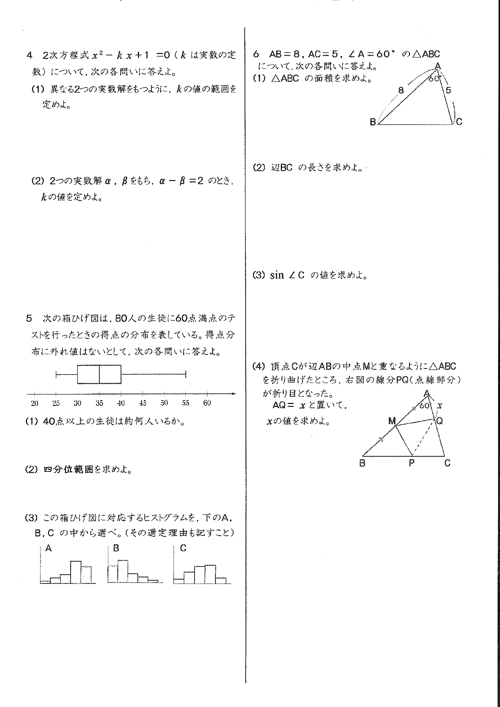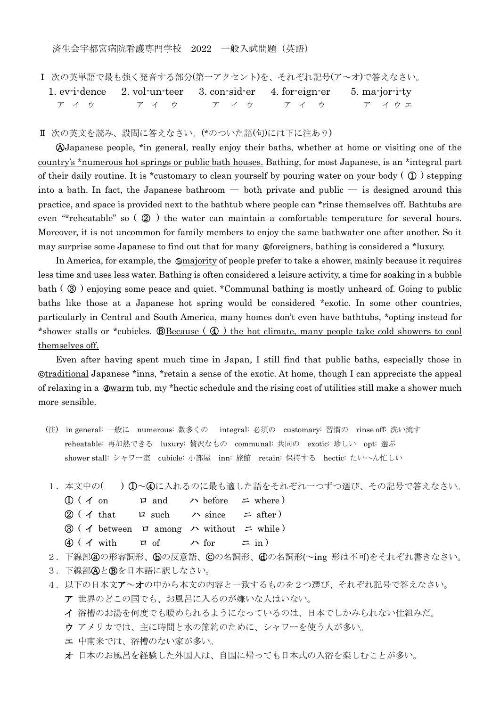済生会宇都宮病院看護専門学校 2022 一般入試問題(英語)

Ⅰ 次の英単語で最も強く発音する部分(第一アクセント)を、それぞれ記号(ア~オ)で答えなさい。

| 1. evidence 2. volum-teer 3. consider 4. for-eigner 5. majority |  |  |
|-----------------------------------------------------------------|--|--|
| アイウ アイウ アイウ アイウ アイカエ                                            |  |  |

Ⅱ 次の英文を読み、設問に答えなさい。(\*のついた語(句)には下に注あり)

ⒶJapanese people, \*in general, really enjoy their baths, whether at home or visiting one of the country's \*numerous hot springs or public bath houses. Bathing, for most Japanese, is an \*integral part of their daily routine. It is \*customary to clean yourself by pouring water on your body ( $\mathbb{O}$ ) stepping into a bath. In fact, the Japanese bathroom — both private and public — is designed around this practice, and space is provided next to the bathtub where people can \*rinse themselves off. Bathtubs are even "\*reheatable" so ( ② ) the water can maintain a comfortable temperature for several hours. Moreover, it is not uncommon for family members to enjoy the same bathwater one after another. So it may surprise some Japanese to find out that for many ⓐforeigners, bathing is considered a \*luxury.

In America, for example, the ⓑmajority of people prefer to take a shower, mainly because it requires less time and uses less water. Bathing is often considered a leisure activity, a time for soaking in a bubble bath ( ③ ) enjoying some peace and quiet. \*Communal bathing is mostly unheard of. Going to public baths like those at a Japanese hot spring would be considered \*exotic. In some other countries, particularly in Central and South America, many homes don't even have bathtubs, \*opting instead for \*shower stalls or \*cubicles.  **E**Because ( $\textcircled{4}$ ) the hot climate, many people take cold showers to cool themselves off.

Even after having spent much time in Japan, I still find that public baths, especially those in ⓒtraditional Japanese \*inns, \*retain a sense of the exotic. At home, though I can appreciate the appeal of relaxing in a  $\mathbb{Q}$ warm tub, my \*hectic schedule and the rising cost of utilities still make a shower much more sensible.

- (注) in general: 一般に numerous: 数多くの integral: 必須の customary: 習慣の rinse off: 洗い流す reheatable: 再加熱できる luxury: 贅沢なもの communal: 共同の exotic: 珍しい opt: 選ぶ shower stall: シャワー室 cubicle: 小部屋 inn: 旅館 retain: 保持する hectic: たいへん忙しい
- 1.本文中の( ) ①~④に入れるのに最も適した語をそれぞれ一つずつ選び、その記号で答えなさい。
	- $\textcircled{1}$  (  $\textuparrow$  on  $\textuparrow$  and  $\textuparrow$  before  $\textuparrow$  where )
	- $\mathcal{D}$  ( **イ** that ロ such ハ since  $=$  after)
	- $\textcircled{3}$  (  $\textuparrow$  between  $\textuparrow$  among  $\textuparrow$  without  $\textuparrow$  while )
	- $\textcircled{4}$  ( イ with ロ of ハ for ニ in )
- 2. 下線部圓の形容詞形、60の反意語、©の名詞形、60の名詞形(~ing 形は不可)をそれぞれ書きなさい。
- 3. 下線部AとBを日本語に訳しなさい。
- 4.以下の日本文ア~オの中から本文の内容と一致するものを2つ選び、それぞれ記号で答えなさい。 ア 世界のどこの国でも、お風呂に入るのが嫌いな人はいない。
	- イ 浴槽のお湯を何度でも暖められるようになっているのは、日本でしかみられない仕組みだ。
	- ウ アメリカでは、主に時間と水の節約のために、シャワーを使う人が多い。
	- エ 中南米では、浴槽のない家が多い。
	- オ 日本のお風呂を経験した外国人は、自国に帰っても日本式の入浴を楽しむことが多い。